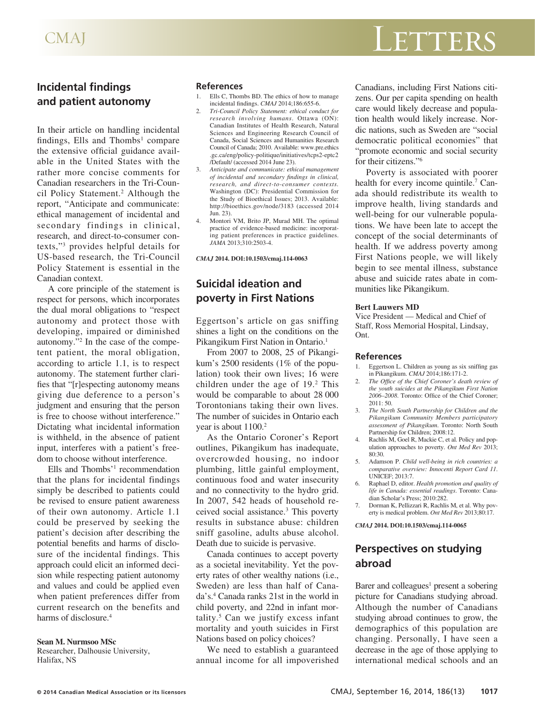# CMAJ LETTERS

## **Incidental findings and patient autonomy**

In their article on handling incidental findings, Ells and Thombs<sup>1</sup> compare the extensive official guidance available in the United States with the rather more concise comments for Canadian researchers in the Tri-Council Policy Statement.<sup>2</sup> Although the report, "Anticipate and communicate: ethical management of incidental and secondary findings in clinical, research, and direct-to-consumer contexts,"3 provides helpful details for US-based research, the Tri-Council Policy Statement is essential in the Canadian context.

A core principle of the statement is respect for persons, which incorporates the dual moral obligations to "respect autonomy and protect those with developing, impaired or diminished autonomy."2 In the case of the competent patient, the moral obligation, according to article 1.1, is to respect autonomy. The statement further clarifies that "[r]especting autonomy means giving due deference to a person's judgment and ensuring that the person is free to choose without interference." Dictating what incidental information is withheld, in the absence of patient input, interferes with a patient's freedom to choose without interference.

Ells and Thombs'<sup>1</sup> recommendation that the plans for incidental findings simply be described to patients could be revised to ensure patient awareness of their own autonomy. Article 1.1 could be preserved by seeking the patient's decision after describing the potential benefits and harms of disclosure of the incidental findings. This approach could elicit an informed decision while respecting patient autonomy and values and could be applied even when patient preferences differ from current research on the benefits and harms of disclosure.<sup>4</sup>

#### **Sean M. Nurmsoo MSc**

Researcher, Dalhousie University, Halifax, NS

## **References**

- 1. Ells C, Thombs BD. The ethics of how to manage incidental findings. *CMAJ* 2014;186:655-6.
- 2. *Tri-Council Policy Statement: ethical conduct for research involving humans*. Ottawa (ON): Canadian Institutes of Health Research, Natural Sciences and Engineering Research Council of Canada, Social Sciences and Humanities Research Council of Canada; 2010. Available: www.pre.ethics .gc.ca/eng/policy-politique/initiatives/tcps2-eptc2 /Default/ (accessed 2014 June 23).
- 3. *Anticipate and communicate: ethical management of incidental and secondary findings in clinical, research, and direct-to-consumer contexts.*  Washington (DC): Presidential Commission for the Study of Bioethical Issues; 2013. Available: http://bioethics.gov/node/3183 (accessed 2014 Jun. 23).
- 4. Montori VM, Brito JP, Murad MH. The optimal practice of evidence-based medicine: incorporating patient preferences in practice guidelines. *JAMA* 2013;310:2503-4.

*CMAJ* **2014. DOI:10.1503/cmaj.114-0063**

# **Suicidal ideation and poverty in First Nations**

Eggertson's article on gas sniffing shines a light on the conditions on the Pikangikum First Nation in Ontario.<sup>1</sup>

From 2007 to 2008, 25 of Pikangikum's 2500 residents (1% of the population) took their own lives; 16 were children under the age of  $19<sup>2</sup>$  This would be comparable to about 28 000 Torontonians taking their own lives. The number of suicides in Ontario each year is about  $1100.<sup>2</sup>$ 

As the Ontario Coroner's Report outlines, Pikangikum has inadequate, overcrowded housing, no indoor plumbing, little gainful employment, continuous food and water insecurity and no connectivity to the hydro grid. In 2007, 542 heads of household received social assistance.3 This poverty results in substance abuse: children sniff gasoline, adults abuse alcohol. Death due to suicide is pervasive.

Canada continues to accept poverty as a societal inevitability. Yet the poverty rates of other wealthy nations (i.e., Sweden) are less than half of Canada's.4 Canada ranks 21st in the world in child poverty, and 22nd in infant mortality.5 Can we justify excess infant mortality and youth suicides in First Nations based on policy choices?

We need to establish a guaranteed annual income for all impoverished Canadians, including First Nations citizens. Our per capita spending on health care would likely decrease and population health would likely increase. Nordic nations, such as Sweden are "social democratic political economies" that "promote economic and social security for their citizens."6

Poverty is associated with poorer health for every income quintile.<sup>7</sup> Canada should redistribute its wealth to improve health, living standards and well-being for our vulnerable populations. We have been late to accept the concept of the social determinants of health. If we address poverty among First Nations people, we will likely begin to see mental illness, substance abuse and suicide rates abate in communities like Pikangikum.

#### **Bert Lauwers MD**

Vice President — Medical and Chief of Staff, Ross Memorial Hospital, Lindsay, Ont.

#### **References**

- 1. Eggertson L. Children as young as six sniffing gas in Pikangikum. *CMAJ* 2014;186:171-2.
- 2. *The Office of the Chief Coroner's death review of the youth suicides at the Pikangikum First Nation 2006–2008*. Toronto: Office of the Chief Coroner; 2011: 50.
- 3. *The North South Partnership for Children and the Pikangikum Community Members participatory assessment of Pikangikum*. Toronto: North South Partnership for Children; 2008:12.
- 4. Rachlis M, Goel R, Mackie C, et al. Policy and population approaches to poverty. *Ont Med Rev* 2013; 80:30.
- 5. Adamson P. *Child well-being in rich countries: a comparative overview: Innocenti Report Card 11*. UNICEF; 2013:7.
- 6. Raphael D, editor. *Health promotion and quality of life in Canada: essential readings*. Toronto: Canadian Scholar's Press; 2010:282.
- 7. Dorman K, Pellizzari R, Rachlis M, et al. Why poverty is medical problem. *Ont Med Rev* 2013;80:17.

*CMAJ* **2014. DOI:10.1503/cmaj.114-0065**

## **Perspectives on studying abroad**

Barer and colleagues<sup>1</sup> present a sobering picture for Canadians studying abroad. Although the number of Canadians studying abroad continues to grow, the demographics of this population are changing. Personally, I have seen a decrease in the age of those applying to international medical schools and an